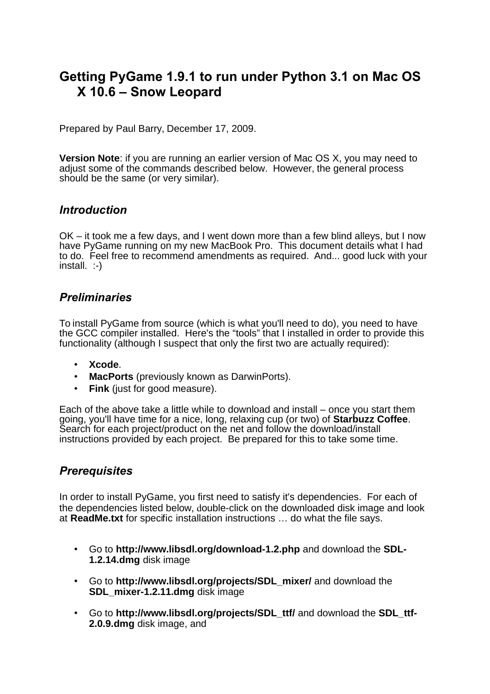# **Getting PyGame 1.9.1 to run under Python 3.1 on Mac OS X 10.6 – Snow Leopard**

Prepared by Paul Barry, December 17, 2009.

**Version Note**: if you are running an earlier version of Mac OS X, you may need to adjust some of the commands described below. However, the general process should be the same (or very similar).

## *Introduction*

OK – it took me a few days, and I went down more than a few blind alleys, but I now have PyGame running on my new MacBook Pro. This document details what I had to do. Feel free to recommend amendments as required. And... good luck with your install. :-)

## *Preliminaries*

To install PyGame from source (which is what you'll need to do), you need to have the GCC compiler installed. Here's the "tools" that I installed in order to provide this functionality (although I suspect that only the first two are actually required):

- **Xcode**.
- **MacPorts** (previously known as DarwinPorts).
- **Fink** (just for good measure).

Each of the above take a little while to download and install – once you start them going, you'll have time for a nice, long, relaxing cup (or two) of **Starbuzz Coffee**. Search for each project/product on the net and follow the download/install instructions provided by each project. Be prepared for this to take some time.

# *Prerequisites*

In order to install PyGame, you first need to satisfy it's dependencies. For each of the dependencies listed below, double-click on the downloaded disk image and look at **ReadMe.txt** for specific installation instructions … do what the file says.

- Go to **http://www.libsdl.org/download-1.2.php** and download the **SDL-1.2.14.dmg** disk image
- Go to **http://www.libsdl.org/projects/SDL\_mixer/** and download the **SDL\_mixer-1.2.11.dmg** disk image
- Go to **http://www.libsdl.org/projects/SDL\_ttf/** and download the **SDL\_ttf-2.0.9.dmg** disk image, and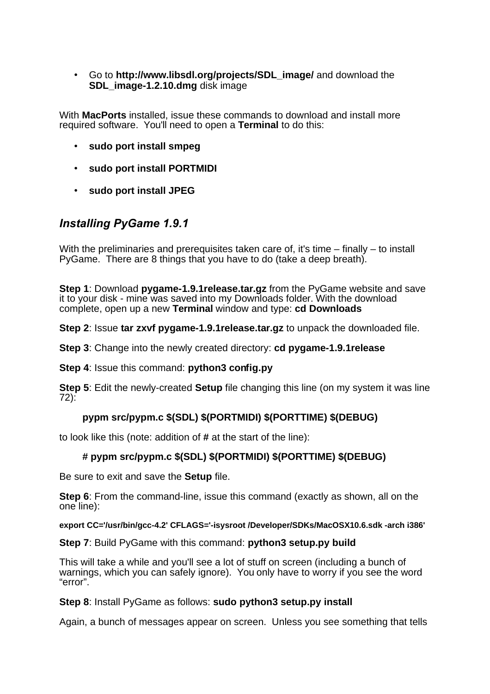• Go to **http://www.libsdl.org/projects/SDL\_image/** and download the **SDL\_image-1.2.10.dmg** disk image

With **MacPorts** installed, issue these commands to download and install more required software. You'll need to open a **Terminal** to do this:

- **sudo port install smpeg**
- **sudo port install PORTMIDI**
- **sudo port install JPEG**

# *Installing PyGame 1.9.1*

With the preliminaries and prerequisites taken care of, it's time – finally – to install PyGame. There are 8 things that you have to do (take a deep breath).

**Step 1**: Download **pygame-1.9.1release.tar.gz** from the PyGame website and save it to your disk - mine was saved into my Downloads folder. With the download complete, open up a new **Terminal** window and type: **cd Downloads**

**Step 2**: Issue **tar zxvf pygame-1.9.1release.tar.gz** to unpack the downloaded file.

**Step 3**: Change into the newly created directory: **cd pygame-1.9.1release**

**Step 4**: Issue this command: **python3 config.py**

**Step 5**: Edit the newly-created **Setup** file changing this line (on my system it was line 72):

### **pypm src/pypm.c \$(SDL) \$(PORTMIDI) \$(PORTTIME) \$(DEBUG)**

to look like this (note: addition of **#** at the start of the line):

#### **# pypm src/pypm.c \$(SDL) \$(PORTMIDI) \$(PORTTIME) \$(DEBUG)**

Be sure to exit and save the **Setup** file.

**Step 6**: From the command-line, issue this command (exactly as shown, all on the one line):

**export CC='/usr/bin/gcc-4.2' CFLAGS='-isysroot /Developer/SDKs/MacOSX10.6.sdk -arch i386'**

**Step 7**: Build PyGame with this command: **python3 setup.py build**

This will take a while and you'll see a lot of stuff on screen (including a bunch of warnings, which you can safely ignore). You only have to worry if you see the word "error".

#### **Step 8**: Install PyGame as follows: **sudo python3 setup.py install**

Again, a bunch of messages appear on screen. Unless you see something that tells